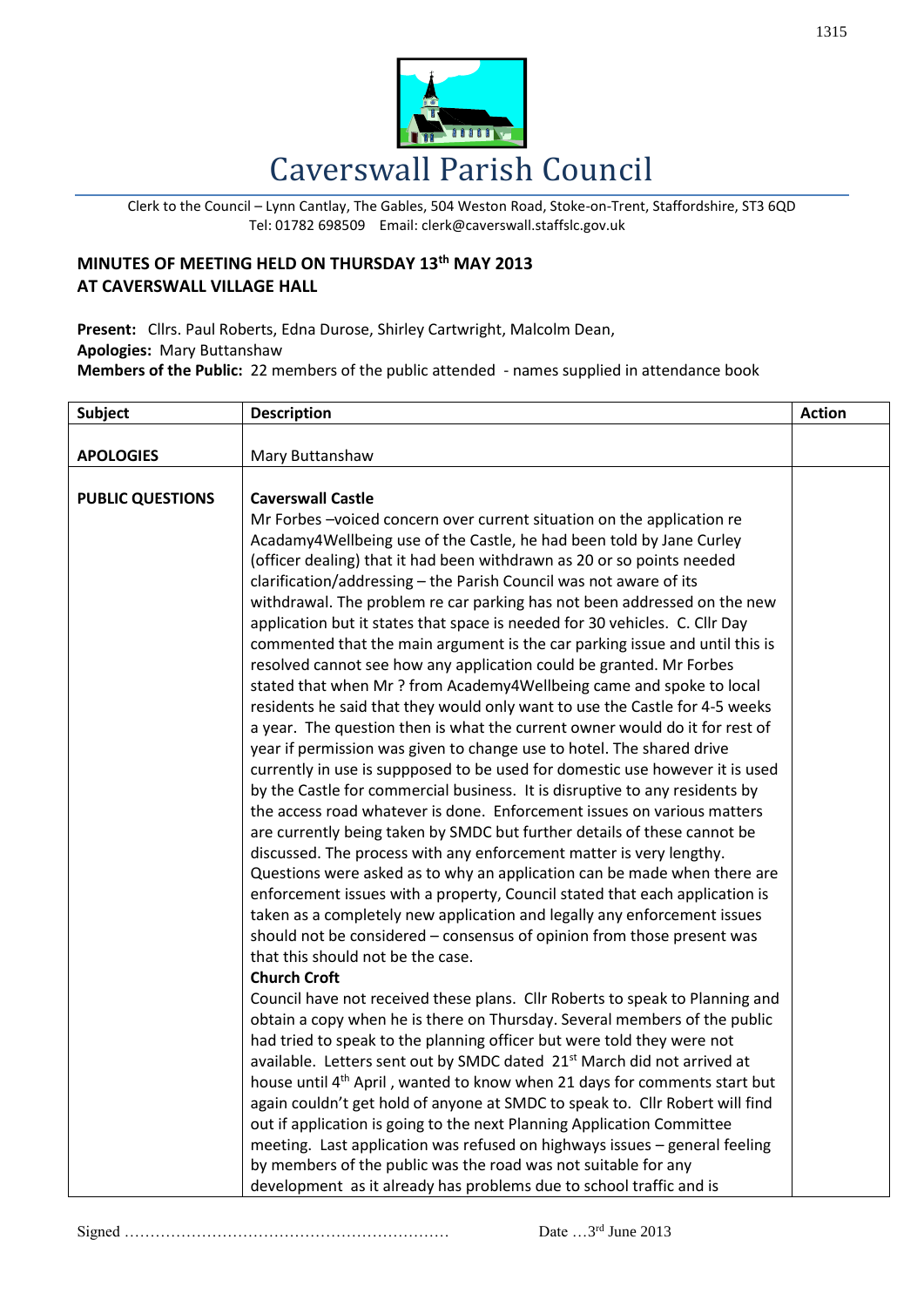

Clerk to the Council – Lynn Cantlay, The Gables, 504 Weston Road, Stoke-on-Trent, Staffordshire, ST3 6QD Tel: 01782 698509 Email: clerk@caverswall.staffslc.gov.uk

## **MINUTES OF MEETING HELD ON THURSDAY 13th MAY 2013 AT CAVERSWALL VILLAGE HALL**

**Present:** Cllrs. Paul Roberts, Edna Durose, Shirley Cartwright, Malcolm Dean, **Apologies:** Mary Buttanshaw **Members of the Public:** 22 members of the public attended - names supplied in attendance book

| <b>Subject</b>          | <b>Description</b>                                                                                                                                                                                                                                                                                                                                                                                                                                                                                                                                                                                                                                                                                                                                                                                                                                                                                                                                                                                                                                                                                                                                                                                                                                                                                                                                                                                                                                                                                                                                                                                                                                                                                                                                                                                                                                                                                                                                                                                                                                                                                                                                                                                                                                                                                                                                                                                                                                                                                                                                             | <b>Action</b> |
|-------------------------|----------------------------------------------------------------------------------------------------------------------------------------------------------------------------------------------------------------------------------------------------------------------------------------------------------------------------------------------------------------------------------------------------------------------------------------------------------------------------------------------------------------------------------------------------------------------------------------------------------------------------------------------------------------------------------------------------------------------------------------------------------------------------------------------------------------------------------------------------------------------------------------------------------------------------------------------------------------------------------------------------------------------------------------------------------------------------------------------------------------------------------------------------------------------------------------------------------------------------------------------------------------------------------------------------------------------------------------------------------------------------------------------------------------------------------------------------------------------------------------------------------------------------------------------------------------------------------------------------------------------------------------------------------------------------------------------------------------------------------------------------------------------------------------------------------------------------------------------------------------------------------------------------------------------------------------------------------------------------------------------------------------------------------------------------------------------------------------------------------------------------------------------------------------------------------------------------------------------------------------------------------------------------------------------------------------------------------------------------------------------------------------------------------------------------------------------------------------------------------------------------------------------------------------------------------------|---------------|
| <b>APOLOGIES</b>        |                                                                                                                                                                                                                                                                                                                                                                                                                                                                                                                                                                                                                                                                                                                                                                                                                                                                                                                                                                                                                                                                                                                                                                                                                                                                                                                                                                                                                                                                                                                                                                                                                                                                                                                                                                                                                                                                                                                                                                                                                                                                                                                                                                                                                                                                                                                                                                                                                                                                                                                                                                |               |
| <b>PUBLIC QUESTIONS</b> | Mary Buttanshaw<br><b>Caverswall Castle</b><br>Mr Forbes-voiced concern over current situation on the application re<br>Acadamy4Wellbeing use of the Castle, he had been told by Jane Curley<br>(officer dealing) that it had been withdrawn as 20 or so points needed<br>clarification/addressing - the Parish Council was not aware of its<br>withdrawal. The problem re car parking has not been addressed on the new<br>application but it states that space is needed for 30 vehicles. C. Cllr Day<br>commented that the main argument is the car parking issue and until this is<br>resolved cannot see how any application could be granted. Mr Forbes<br>stated that when Mr ? from Academy4Wellbeing came and spoke to local<br>residents he said that they would only want to use the Castle for 4-5 weeks<br>a year. The question then is what the current owner would do it for rest of<br>year if permission was given to change use to hotel. The shared drive<br>currently in use is suppposed to be used for domestic use however it is used<br>by the Castle for commercial business. It is disruptive to any residents by<br>the access road whatever is done. Enforcement issues on various matters<br>are currently being taken by SMDC but further details of these cannot be<br>discussed. The process with any enforcement matter is very lengthy.<br>Questions were asked as to why an application can be made when there are<br>enforcement issues with a property, Council stated that each application is<br>taken as a completely new application and legally any enforcement issues<br>should not be considered - consensus of opinion from those present was<br>that this should not be the case.<br><b>Church Croft</b><br>Council have not received these plans. Cllr Roberts to speak to Planning and<br>obtain a copy when he is there on Thursday. Several members of the public<br>had tried to speak to the planning officer but were told they were not<br>available. Letters sent out by SMDC dated 21 <sup>st</sup> March did not arrived at<br>house until 4 <sup>th</sup> April, wanted to know when 21 days for comments start but<br>again couldn't get hold of anyone at SMDC to speak to. Cllr Robert will find<br>out if application is going to the next Planning Application Committee<br>meeting. Last application was refused on highways issues - general feeling<br>by members of the public was the road was not suitable for any<br>development as it already has problems due to school traffic and is |               |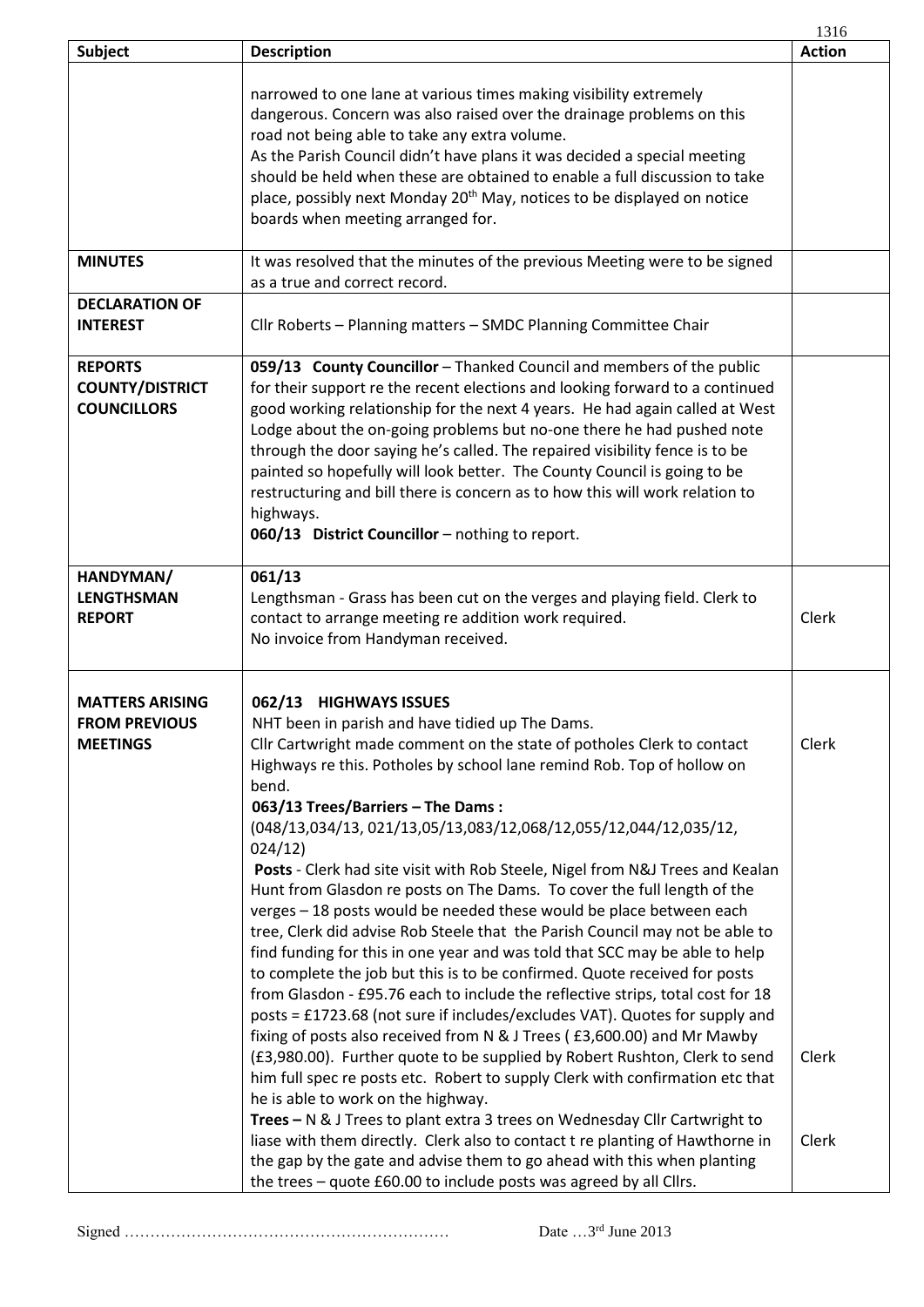|                                                                   |                                                                                                                                                                                                                                                                                                                                                                                                                                                                                                                                                                                                                                                                                                                                                                                                                                                                                                                                                                                                                                                                                                                                                                                                                                                                                                                                                                                                                                                                                                                                                                                                           | 1316                    |
|-------------------------------------------------------------------|-----------------------------------------------------------------------------------------------------------------------------------------------------------------------------------------------------------------------------------------------------------------------------------------------------------------------------------------------------------------------------------------------------------------------------------------------------------------------------------------------------------------------------------------------------------------------------------------------------------------------------------------------------------------------------------------------------------------------------------------------------------------------------------------------------------------------------------------------------------------------------------------------------------------------------------------------------------------------------------------------------------------------------------------------------------------------------------------------------------------------------------------------------------------------------------------------------------------------------------------------------------------------------------------------------------------------------------------------------------------------------------------------------------------------------------------------------------------------------------------------------------------------------------------------------------------------------------------------------------|-------------------------|
| <b>Subject</b>                                                    | <b>Description</b>                                                                                                                                                                                                                                                                                                                                                                                                                                                                                                                                                                                                                                                                                                                                                                                                                                                                                                                                                                                                                                                                                                                                                                                                                                                                                                                                                                                                                                                                                                                                                                                        | <b>Action</b>           |
|                                                                   | narrowed to one lane at various times making visibility extremely<br>dangerous. Concern was also raised over the drainage problems on this<br>road not being able to take any extra volume.<br>As the Parish Council didn't have plans it was decided a special meeting<br>should be held when these are obtained to enable a full discussion to take<br>place, possibly next Monday 20 <sup>th</sup> May, notices to be displayed on notice<br>boards when meeting arranged for.                                                                                                                                                                                                                                                                                                                                                                                                                                                                                                                                                                                                                                                                                                                                                                                                                                                                                                                                                                                                                                                                                                                         |                         |
| <b>MINUTES</b>                                                    | It was resolved that the minutes of the previous Meeting were to be signed<br>as a true and correct record.                                                                                                                                                                                                                                                                                                                                                                                                                                                                                                                                                                                                                                                                                                                                                                                                                                                                                                                                                                                                                                                                                                                                                                                                                                                                                                                                                                                                                                                                                               |                         |
| <b>DECLARATION OF</b><br><b>INTEREST</b>                          | Cllr Roberts - Planning matters - SMDC Planning Committee Chair                                                                                                                                                                                                                                                                                                                                                                                                                                                                                                                                                                                                                                                                                                                                                                                                                                                                                                                                                                                                                                                                                                                                                                                                                                                                                                                                                                                                                                                                                                                                           |                         |
| <b>REPORTS</b><br><b>COUNTY/DISTRICT</b><br><b>COUNCILLORS</b>    | 059/13 County Councillor - Thanked Council and members of the public<br>for their support re the recent elections and looking forward to a continued<br>good working relationship for the next 4 years. He had again called at West<br>Lodge about the on-going problems but no-one there he had pushed note<br>through the door saying he's called. The repaired visibility fence is to be<br>painted so hopefully will look better. The County Council is going to be<br>restructuring and bill there is concern as to how this will work relation to<br>highways.<br>060/13 District Councillor - nothing to report.                                                                                                                                                                                                                                                                                                                                                                                                                                                                                                                                                                                                                                                                                                                                                                                                                                                                                                                                                                                   |                         |
| HANDYMAN/<br><b>LENGTHSMAN</b><br><b>REPORT</b>                   | 061/13<br>Lengthsman - Grass has been cut on the verges and playing field. Clerk to<br>contact to arrange meeting re addition work required.<br>No invoice from Handyman received.                                                                                                                                                                                                                                                                                                                                                                                                                                                                                                                                                                                                                                                                                                                                                                                                                                                                                                                                                                                                                                                                                                                                                                                                                                                                                                                                                                                                                        | Clerk                   |
| <b>MATTERS ARISING</b><br><b>FROM PREVIOUS</b><br><b>MEETINGS</b> | 062/13 HIGHWAYS ISSUES<br>NHT been in parish and have tidied up The Dams.<br>Cllr Cartwright made comment on the state of potholes Clerk to contact<br>Highways re this. Potholes by school lane remind Rob. Top of hollow on<br>bend.<br>063/13 Trees/Barriers - The Dams:<br>(048/13,034/13,021/13,05/13,083/12,068/12,055/12,044/12,035/12,<br>024/12)<br>Posts - Clerk had site visit with Rob Steele, Nigel from N&J Trees and Kealan<br>Hunt from Glasdon re posts on The Dams. To cover the full length of the<br>verges - 18 posts would be needed these would be place between each<br>tree, Clerk did advise Rob Steele that the Parish Council may not be able to<br>find funding for this in one year and was told that SCC may be able to help<br>to complete the job but this is to be confirmed. Quote received for posts<br>from Glasdon - £95.76 each to include the reflective strips, total cost for 18<br>posts = £1723.68 (not sure if includes/excludes VAT). Quotes for supply and<br>fixing of posts also received from N & J Trees (£3,600.00) and Mr Mawby<br>(£3,980.00). Further quote to be supplied by Robert Rushton, Clerk to send<br>him full spec re posts etc. Robert to supply Clerk with confirmation etc that<br>he is able to work on the highway.<br>Trees - N & J Trees to plant extra 3 trees on Wednesday Cllr Cartwright to<br>liase with them directly. Clerk also to contact t re planting of Hawthorne in<br>the gap by the gate and advise them to go ahead with this when planting<br>the trees - quote £60.00 to include posts was agreed by all Cllrs. | Clerk<br>Clerk<br>Clerk |

Signed ……………………………………………………… Date …3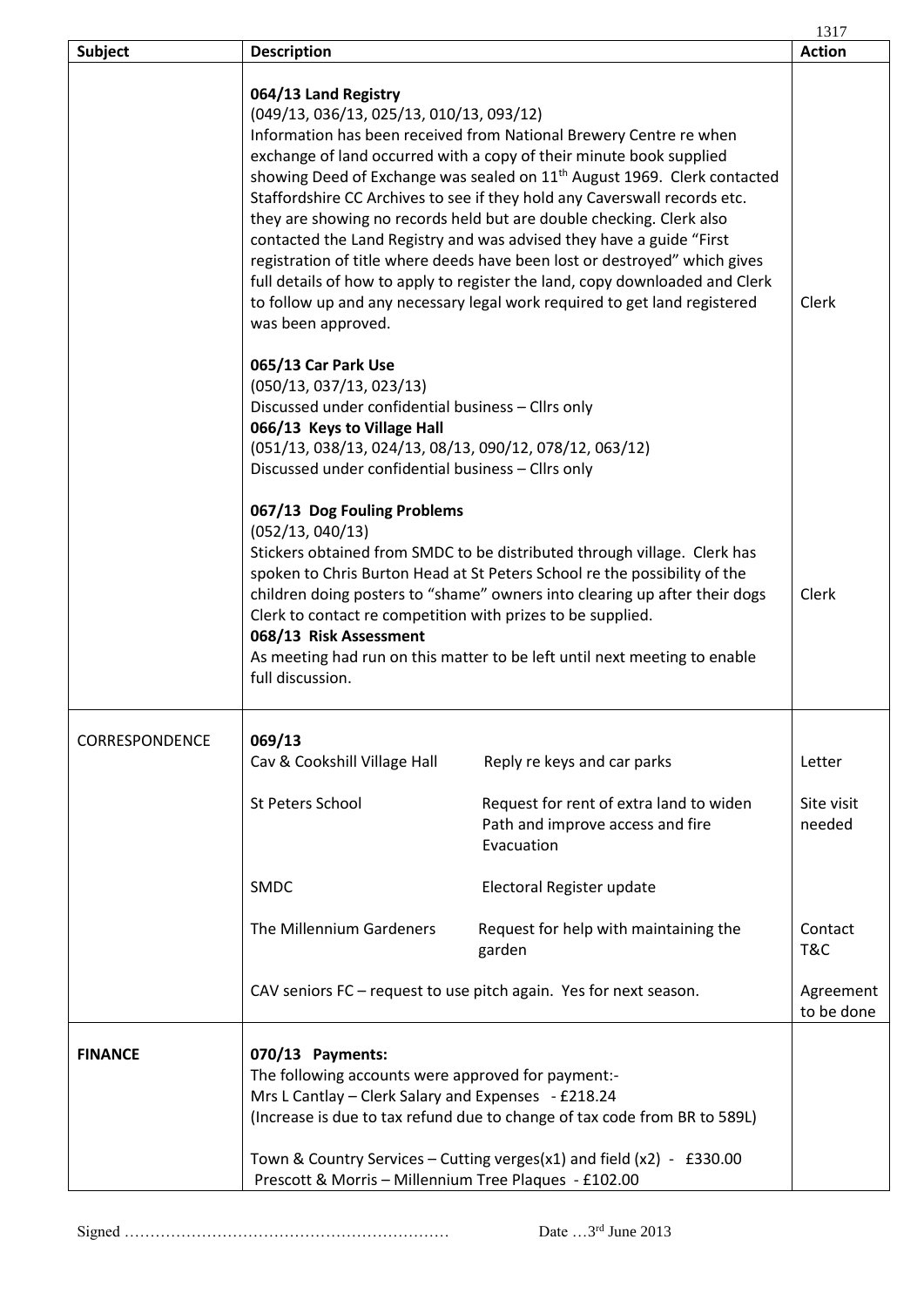|                |                                                                                                                                                                                                                                                                                      |                                                                                                                                                                                                                                                                                                                                                                                                                                                                                                                                                                                                                                                                                                           | 1317                    |
|----------------|--------------------------------------------------------------------------------------------------------------------------------------------------------------------------------------------------------------------------------------------------------------------------------------|-----------------------------------------------------------------------------------------------------------------------------------------------------------------------------------------------------------------------------------------------------------------------------------------------------------------------------------------------------------------------------------------------------------------------------------------------------------------------------------------------------------------------------------------------------------------------------------------------------------------------------------------------------------------------------------------------------------|-------------------------|
| <b>Subject</b> | <b>Description</b>                                                                                                                                                                                                                                                                   |                                                                                                                                                                                                                                                                                                                                                                                                                                                                                                                                                                                                                                                                                                           | <b>Action</b>           |
|                | 064/13 Land Registry<br>(049/13, 036/13, 025/13, 010/13, 093/12)<br>was been approved.                                                                                                                                                                                               | Information has been received from National Brewery Centre re when<br>exchange of land occurred with a copy of their minute book supplied<br>showing Deed of Exchange was sealed on 11 <sup>th</sup> August 1969. Clerk contacted<br>Staffordshire CC Archives to see if they hold any Caverswall records etc.<br>they are showing no records held but are double checking. Clerk also<br>contacted the Land Registry and was advised they have a guide "First<br>registration of title where deeds have been lost or destroyed" which gives<br>full details of how to apply to register the land, copy downloaded and Clerk<br>to follow up and any necessary legal work required to get land registered | Clerk                   |
|                | 065/13 Car Park Use<br>(050/13, 037/13, 023/13)<br>Discussed under confidential business - Cllrs only<br>066/13 Keys to Village Hall<br>(051/13, 038/13, 024/13, 08/13, 090/12, 078/12, 063/12)<br>Discussed under confidential business - Cllrs only<br>067/13 Dog Fouling Problems |                                                                                                                                                                                                                                                                                                                                                                                                                                                                                                                                                                                                                                                                                                           |                         |
|                | (052/13, 040/13)<br>Clerk to contact re competition with prizes to be supplied.<br>068/13 Risk Assessment<br>full discussion.                                                                                                                                                        | Stickers obtained from SMDC to be distributed through village. Clerk has<br>spoken to Chris Burton Head at St Peters School re the possibility of the<br>children doing posters to "shame" owners into clearing up after their dogs<br>As meeting had run on this matter to be left until next meeting to enable                                                                                                                                                                                                                                                                                                                                                                                          | Clerk                   |
| CORRESPONDENCE | 069/13<br>Cav & Cookshill Village Hall                                                                                                                                                                                                                                               | Reply re keys and car parks                                                                                                                                                                                                                                                                                                                                                                                                                                                                                                                                                                                                                                                                               | Letter                  |
|                | <b>St Peters School</b>                                                                                                                                                                                                                                                              | Request for rent of extra land to widen<br>Path and improve access and fire<br>Evacuation                                                                                                                                                                                                                                                                                                                                                                                                                                                                                                                                                                                                                 | Site visit<br>needed    |
|                | <b>SMDC</b>                                                                                                                                                                                                                                                                          | Electoral Register update                                                                                                                                                                                                                                                                                                                                                                                                                                                                                                                                                                                                                                                                                 |                         |
|                | The Millennium Gardeners                                                                                                                                                                                                                                                             | Request for help with maintaining the<br>garden                                                                                                                                                                                                                                                                                                                                                                                                                                                                                                                                                                                                                                                           | Contact<br>T&C          |
|                |                                                                                                                                                                                                                                                                                      | CAV seniors FC - request to use pitch again. Yes for next season.                                                                                                                                                                                                                                                                                                                                                                                                                                                                                                                                                                                                                                         | Agreement<br>to be done |
| <b>FINANCE</b> | 070/13 Payments:<br>The following accounts were approved for payment:-<br>Mrs L Cantlay - Clerk Salary and Expenses - £218.24<br>Prescott & Morris - Millennium Tree Plaques - £102.00                                                                                               | (Increase is due to tax refund due to change of tax code from BR to 589L)<br>Town & Country Services - Cutting verges(x1) and field (x2) - £330.00                                                                                                                                                                                                                                                                                                                                                                                                                                                                                                                                                        |                         |

Signed ……………………………………………………… Date …3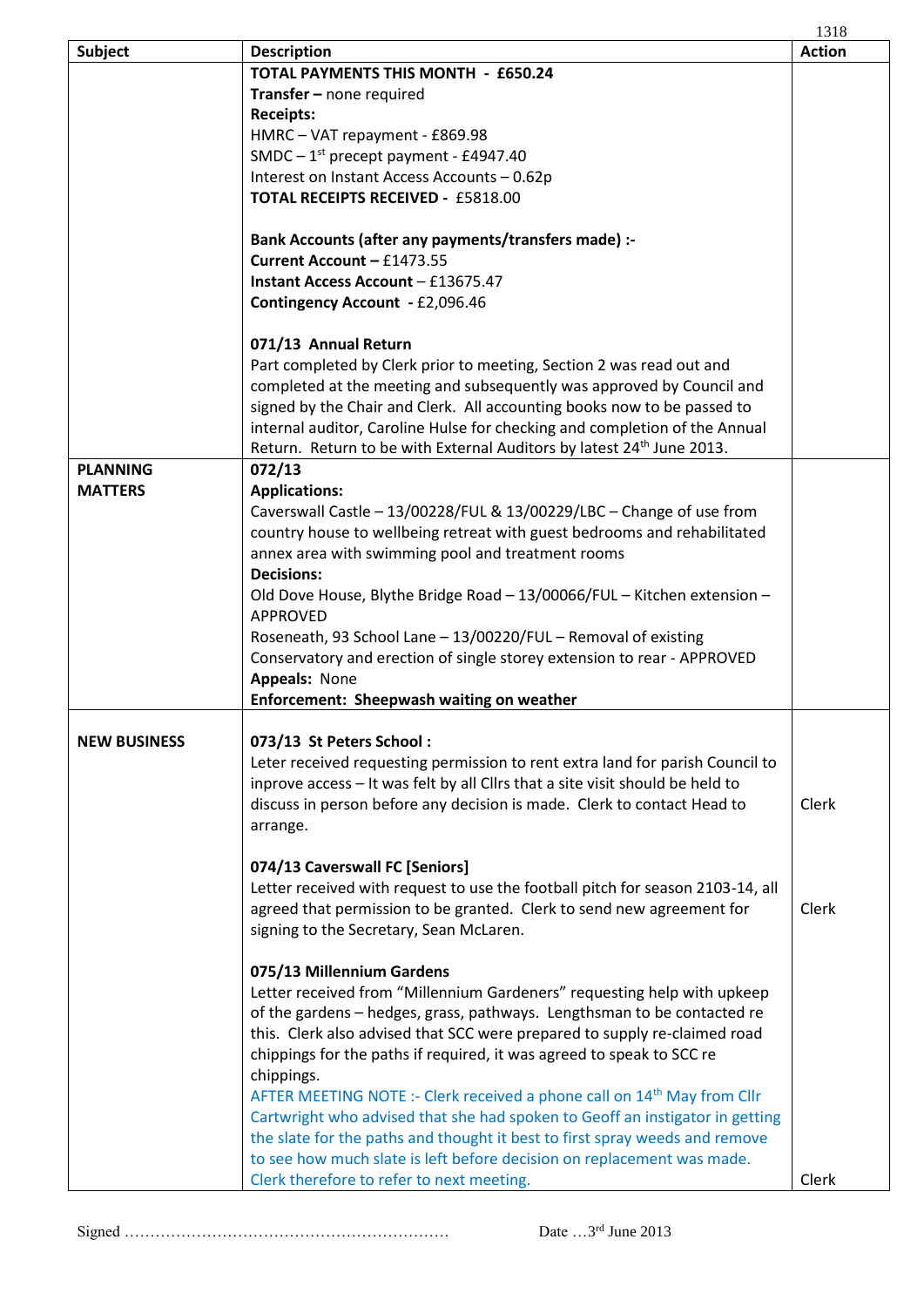|                     |                                                                                     | 1318          |
|---------------------|-------------------------------------------------------------------------------------|---------------|
| <b>Subject</b>      | <b>Description</b>                                                                  | <b>Action</b> |
|                     | <b>TOTAL PAYMENTS THIS MONTH - £650.24</b>                                          |               |
|                     | Transfer - none required                                                            |               |
|                     | <b>Receipts:</b>                                                                    |               |
|                     | HMRC-VAT repayment - £869.98                                                        |               |
|                     | SMDC $-1st$ precept payment - £4947.40                                              |               |
|                     | Interest on Instant Access Accounts - 0.62p                                         |               |
|                     | <b>TOTAL RECEIPTS RECEIVED - £5818.00</b>                                           |               |
|                     | Bank Accounts (after any payments/transfers made) :-                                |               |
|                     | Current Account - £1473.55                                                          |               |
|                     | <b>Instant Access Account - £13675.47</b>                                           |               |
|                     | Contingency Account - £2,096.46                                                     |               |
|                     | 071/13 Annual Return                                                                |               |
|                     | Part completed by Clerk prior to meeting, Section 2 was read out and                |               |
|                     | completed at the meeting and subsequently was approved by Council and               |               |
|                     | signed by the Chair and Clerk. All accounting books now to be passed to             |               |
|                     | internal auditor, Caroline Hulse for checking and completion of the Annual          |               |
|                     | Return. Return to be with External Auditors by latest 24 <sup>th</sup> June 2013.   |               |
| <b>PLANNING</b>     | 072/13                                                                              |               |
| <b>MATTERS</b>      | <b>Applications:</b>                                                                |               |
|                     | Caverswall Castle - 13/00228/FUL & 13/00229/LBC - Change of use from                |               |
|                     | country house to wellbeing retreat with guest bedrooms and rehabilitated            |               |
|                     | annex area with swimming pool and treatment rooms                                   |               |
|                     | <b>Decisions:</b>                                                                   |               |
|                     | Old Dove House, Blythe Bridge Road - 13/00066/FUL - Kitchen extension -             |               |
|                     | <b>APPROVED</b>                                                                     |               |
|                     | Roseneath, 93 School Lane - 13/00220/FUL - Removal of existing                      |               |
|                     | Conservatory and erection of single storey extension to rear - APPROVED             |               |
|                     | Appeals: None                                                                       |               |
|                     | Enforcement: Sheepwash waiting on weather                                           |               |
| <b>NEW BUSINESS</b> | 073/13 St Peters School:                                                            |               |
|                     | Leter received requesting permission to rent extra land for parish Council to       |               |
|                     | inprove access - It was felt by all Cllrs that a site visit should be held to       |               |
|                     | discuss in person before any decision is made. Clerk to contact Head to             | Clerk         |
|                     | arrange.                                                                            |               |
|                     |                                                                                     |               |
|                     | 074/13 Caverswall FC [Seniors]                                                      |               |
|                     | Letter received with request to use the football pitch for season 2103-14, all      |               |
|                     | agreed that permission to be granted. Clerk to send new agreement for               | Clerk         |
|                     | signing to the Secretary, Sean McLaren.                                             |               |
|                     | 075/13 Millennium Gardens                                                           |               |
|                     | Letter received from "Millennium Gardeners" requesting help with upkeep             |               |
|                     | of the gardens - hedges, grass, pathways. Lengthsman to be contacted re             |               |
|                     | this. Clerk also advised that SCC were prepared to supply re-claimed road           |               |
|                     | chippings for the paths if required, it was agreed to speak to SCC re               |               |
|                     | chippings.                                                                          |               |
|                     | AFTER MEETING NOTE :- Clerk received a phone call on 14 <sup>th</sup> May from Cllr |               |
|                     | Cartwright who advised that she had spoken to Geoff an instigator in getting        |               |
|                     | the slate for the paths and thought it best to first spray weeds and remove         |               |
|                     | to see how much slate is left before decision on replacement was made.              |               |
|                     | Clerk therefore to refer to next meeting.                                           | Clerk         |
|                     |                                                                                     |               |